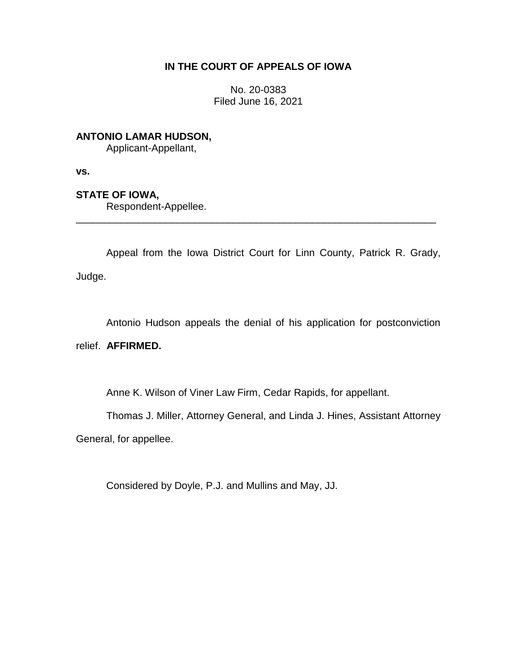# **IN THE COURT OF APPEALS OF IOWA**

No. 20-0383 Filed June 16, 2021

**ANTONIO LAMAR HUDSON,**

Applicant-Appellant,

**vs.**

**STATE OF IOWA,**

Respondent-Appellee.

Appeal from the Iowa District Court for Linn County, Patrick R. Grady, Judge.

\_\_\_\_\_\_\_\_\_\_\_\_\_\_\_\_\_\_\_\_\_\_\_\_\_\_\_\_\_\_\_\_\_\_\_\_\_\_\_\_\_\_\_\_\_\_\_\_\_\_\_\_\_\_\_\_\_\_\_\_\_\_\_\_

Antonio Hudson appeals the denial of his application for postconviction

relief. **AFFIRMED.**

Anne K. Wilson of Viner Law Firm, Cedar Rapids, for appellant.

Thomas J. Miller, Attorney General, and Linda J. Hines, Assistant Attorney

General, for appellee.

Considered by Doyle, P.J. and Mullins and May, JJ.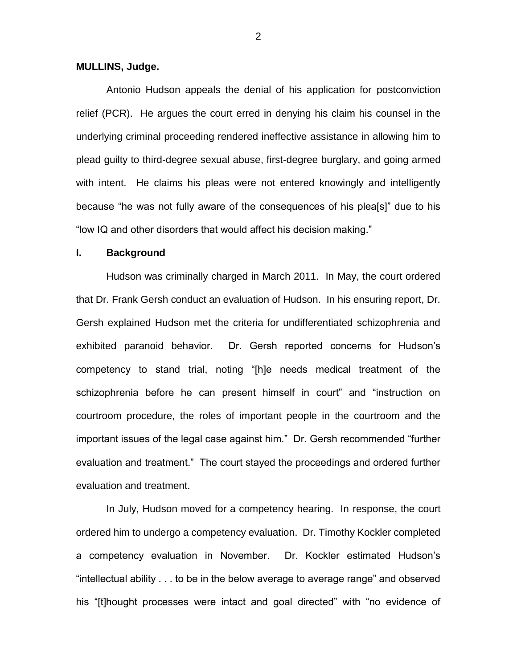#### **MULLINS, Judge.**

Antonio Hudson appeals the denial of his application for postconviction relief (PCR). He argues the court erred in denying his claim his counsel in the underlying criminal proceeding rendered ineffective assistance in allowing him to plead guilty to third-degree sexual abuse, first-degree burglary, and going armed with intent. He claims his pleas were not entered knowingly and intelligently because "he was not fully aware of the consequences of his plea[s]" due to his "low IQ and other disorders that would affect his decision making."

## **I. Background**

Hudson was criminally charged in March 2011. In May, the court ordered that Dr. Frank Gersh conduct an evaluation of Hudson. In his ensuring report, Dr. Gersh explained Hudson met the criteria for undifferentiated schizophrenia and exhibited paranoid behavior. Dr. Gersh reported concerns for Hudson's competency to stand trial, noting "[h]e needs medical treatment of the schizophrenia before he can present himself in court" and "instruction on courtroom procedure, the roles of important people in the courtroom and the important issues of the legal case against him." Dr. Gersh recommended "further evaluation and treatment." The court stayed the proceedings and ordered further evaluation and treatment.

In July, Hudson moved for a competency hearing. In response, the court ordered him to undergo a competency evaluation. Dr. Timothy Kockler completed a competency evaluation in November. Dr. Kockler estimated Hudson's "intellectual ability . . . to be in the below average to average range" and observed his "[t]hought processes were intact and goal directed" with "no evidence of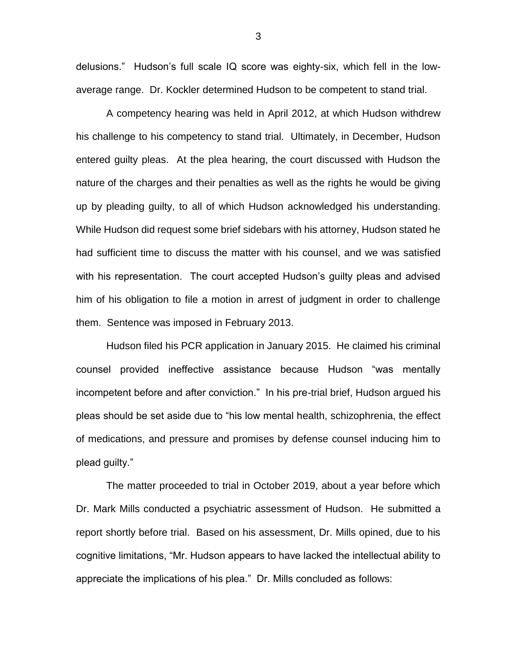delusions." Hudson's full scale IQ score was eighty-six, which fell in the lowaverage range. Dr. Kockler determined Hudson to be competent to stand trial.

A competency hearing was held in April 2012, at which Hudson withdrew his challenge to his competency to stand trial. Ultimately, in December, Hudson entered guilty pleas. At the plea hearing, the court discussed with Hudson the nature of the charges and their penalties as well as the rights he would be giving up by pleading guilty, to all of which Hudson acknowledged his understanding. While Hudson did request some brief sidebars with his attorney, Hudson stated he had sufficient time to discuss the matter with his counsel, and we was satisfied with his representation. The court accepted Hudson's guilty pleas and advised him of his obligation to file a motion in arrest of judgment in order to challenge them. Sentence was imposed in February 2013.

Hudson filed his PCR application in January 2015. He claimed his criminal counsel provided ineffective assistance because Hudson "was mentally incompetent before and after conviction." In his pre-trial brief, Hudson argued his pleas should be set aside due to "his low mental health, schizophrenia, the effect of medications, and pressure and promises by defense counsel inducing him to plead guilty."

The matter proceeded to trial in October 2019, about a year before which Dr. Mark Mills conducted a psychiatric assessment of Hudson. He submitted a report shortly before trial. Based on his assessment, Dr. Mills opined, due to his cognitive limitations, "Mr. Hudson appears to have lacked the intellectual ability to appreciate the implications of his plea." Dr. Mills concluded as follows: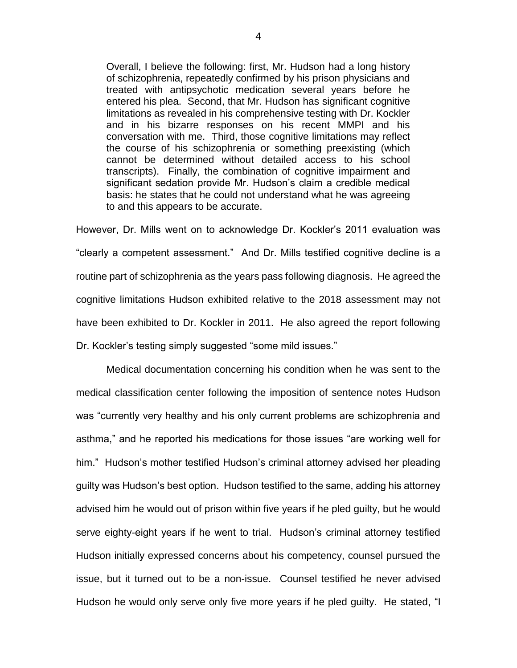Overall, I believe the following: first, Mr. Hudson had a long history of schizophrenia, repeatedly confirmed by his prison physicians and treated with antipsychotic medication several years before he entered his plea. Second, that Mr. Hudson has significant cognitive limitations as revealed in his comprehensive testing with Dr. Kockler and in his bizarre responses on his recent MMPI and his conversation with me. Third, those cognitive limitations may reflect the course of his schizophrenia or something preexisting (which cannot be determined without detailed access to his school transcripts). Finally, the combination of cognitive impairment and significant sedation provide Mr. Hudson's claim a credible medical basis: he states that he could not understand what he was agreeing to and this appears to be accurate.

However, Dr. Mills went on to acknowledge Dr. Kockler's 2011 evaluation was "clearly a competent assessment." And Dr. Mills testified cognitive decline is a routine part of schizophrenia as the years pass following diagnosis. He agreed the cognitive limitations Hudson exhibited relative to the 2018 assessment may not have been exhibited to Dr. Kockler in 2011. He also agreed the report following Dr. Kockler's testing simply suggested "some mild issues."

Medical documentation concerning his condition when he was sent to the medical classification center following the imposition of sentence notes Hudson was "currently very healthy and his only current problems are schizophrenia and asthma," and he reported his medications for those issues "are working well for him." Hudson's mother testified Hudson's criminal attorney advised her pleading guilty was Hudson's best option. Hudson testified to the same, adding his attorney advised him he would out of prison within five years if he pled guilty, but he would serve eighty-eight years if he went to trial. Hudson's criminal attorney testified Hudson initially expressed concerns about his competency, counsel pursued the issue, but it turned out to be a non-issue. Counsel testified he never advised Hudson he would only serve only five more years if he pled guilty. He stated, "I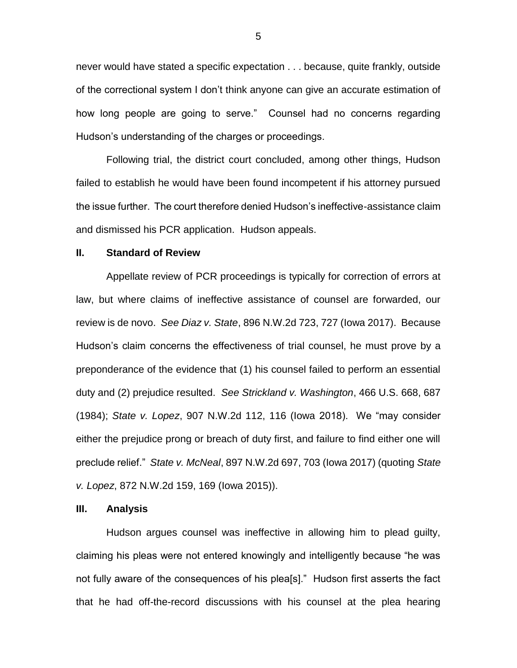never would have stated a specific expectation . . . because, quite frankly, outside of the correctional system I don't think anyone can give an accurate estimation of how long people are going to serve." Counsel had no concerns regarding Hudson's understanding of the charges or proceedings.

Following trial, the district court concluded, among other things, Hudson failed to establish he would have been found incompetent if his attorney pursued the issue further. The court therefore denied Hudson's ineffective-assistance claim and dismissed his PCR application. Hudson appeals.

## **II. Standard of Review**

Appellate review of PCR proceedings is typically for correction of errors at law, but where claims of ineffective assistance of counsel are forwarded, our review is de novo. *See Diaz v. State*, 896 N.W.2d 723, 727 (Iowa 2017). Because Hudson's claim concerns the effectiveness of trial counsel, he must prove by a preponderance of the evidence that (1) his counsel failed to perform an essential duty and (2) prejudice resulted. *See Strickland v. Washington*, 466 U.S. 668, 687 (1984); *State v. Lopez*, 907 N.W.2d 112, 116 (Iowa 2018). We "may consider either the prejudice prong or breach of duty first, and failure to find either one will preclude relief." *State v. McNeal*, 897 N.W.2d 697, 703 (Iowa 2017) (quoting *State v. Lopez*, 872 N.W.2d 159, 169 (Iowa 2015)).

#### **III. Analysis**

Hudson argues counsel was ineffective in allowing him to plead guilty, claiming his pleas were not entered knowingly and intelligently because "he was not fully aware of the consequences of his plea[s]." Hudson first asserts the fact that he had off-the-record discussions with his counsel at the plea hearing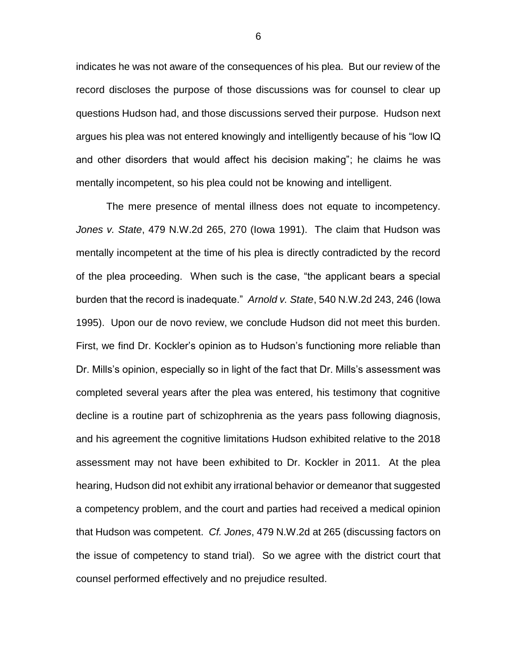indicates he was not aware of the consequences of his plea. But our review of the record discloses the purpose of those discussions was for counsel to clear up questions Hudson had, and those discussions served their purpose. Hudson next argues his plea was not entered knowingly and intelligently because of his "low IQ and other disorders that would affect his decision making"; he claims he was mentally incompetent, so his plea could not be knowing and intelligent.

The mere presence of mental illness does not equate to incompetency. *Jones v. State*, 479 N.W.2d 265, 270 (Iowa 1991). The claim that Hudson was mentally incompetent at the time of his plea is directly contradicted by the record of the plea proceeding. When such is the case, "the applicant bears a special burden that the record is inadequate." *Arnold v. State*, 540 N.W.2d 243, 246 (Iowa 1995). Upon our de novo review, we conclude Hudson did not meet this burden. First, we find Dr. Kockler's opinion as to Hudson's functioning more reliable than Dr. Mills's opinion, especially so in light of the fact that Dr. Mills's assessment was completed several years after the plea was entered, his testimony that cognitive decline is a routine part of schizophrenia as the years pass following diagnosis, and his agreement the cognitive limitations Hudson exhibited relative to the 2018 assessment may not have been exhibited to Dr. Kockler in 2011. At the plea hearing, Hudson did not exhibit any irrational behavior or demeanor that suggested a competency problem, and the court and parties had received a medical opinion that Hudson was competent. *Cf. Jones*, 479 N.W.2d at 265 (discussing factors on the issue of competency to stand trial). So we agree with the district court that counsel performed effectively and no prejudice resulted.